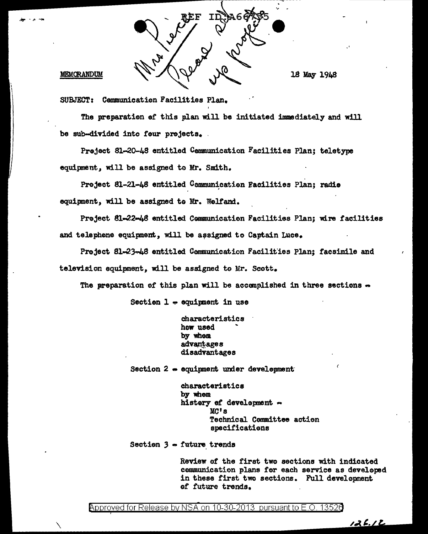

## MEMORANDUM

\.

18 May 1948

SUBJECT: Cemmunicatien Facilities Plan.

The preparation of this plan will be initiated immediately and will be sub-divided into feur projects. .

Preject 81-20-48 entitled Communication Facilities Plan; teletype equipment, will be assigned to Mr. Smith.

Project 81-21-48 entitled Communication Facilities Plan; radio equipment, will be assigned to Mr. Wolfand.

Project 81-22-48 entitled Communication Facilities Plan: wire facilities and telephone equipment, will be assigned to Captain Luce.

Preject 81-23-48 entitled Communication Facilities Plan; facsimile and television equipment, will be assigned to Mr. Scott.

The preparation of this plan will be accomplished in three sections  $\bullet$ 

Section  $1 \div$  equipment in use

characteristics how used by whem advantages disadvantages

Section  $2$   $\rightarrow$  equipment under development

characteristics by whom histery of development  $\sim$ MC's Technical Committee action specifications

Section 3 - future trends

Review ef the first two sections with indicated communication plans for each service as developed in these first two sections. Full development *et* future trends.

126.12

 $\beta$ pproved for Release by NSA on 10-30-2013 pursuant to E.O. 13526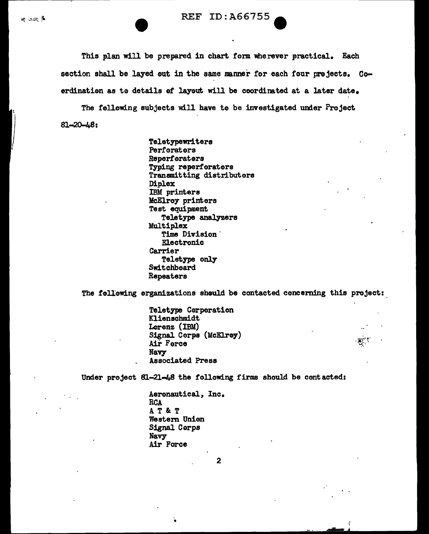م جم≠

This plan will be prepared in chart form wherever practical. Each section shall be layed out in the same manner for each four projects. Coerdination as to details of layout will be coordinated at a later date.

The fellowing subjects will have te be investigated under Project Sl-20-48:

> Teletypewriters Perforators Repertoraters Typing reperforators Transmitting distributors Diplex IBM printers :McElroy printers Test equipment Teletype analyzers Multiplex Time Division ' Electronic Carrier Teletype only **Switchboard** Repeaters

The following organizations should be contacted concerning this project:

Teletype Corperation Klienscbmidt Lorenz (IBM) Signal Corps (McElrey) Air Force **Navy** Associated Press

Under project 81-21-48 the following firms should be contacted:

Aerenautical, Inc. RCA AT&T Westem Unian Signal Corps Navy Air Force

2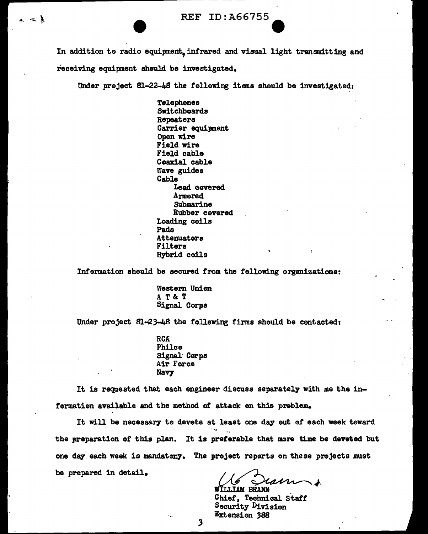In addition to radio equipment, infrared and visual light transmitting and receiving equipment should be investigated.

.... ------------------~~~~~~~~~~ ~ ----

 $\sim$  )

Under project  $81-22-48$  the following items should be investigated:

Telephones SWitchboards Repeaters Carrier equipment Open wire Field wire Field cable Ceaxial cable Wave guides Cable Lead covered Armered **Submarine** Rubber covered Loading coils Pads Attenuators Filters Hybrid coils

Information should be secured from the following organizations:

Western Union AT&T Signal Corps

Under project  $81-23-48$  the following firms should be contacted:

RCA Philco Signal· Corps Air Force Navy

It is requested that each engineer discuss separately with me the information available and the method of attack en this problem.

It will be necessary to devote at least one day out of each week toward the preparation of this plan. It is preferable that more time be deveted but one day each week is mandatory. The project reperts on these projects must be prepared in detail.

**WILLIAM BRANN** 

Chief, Technical Staff **Security Division Extension 388** 

.3